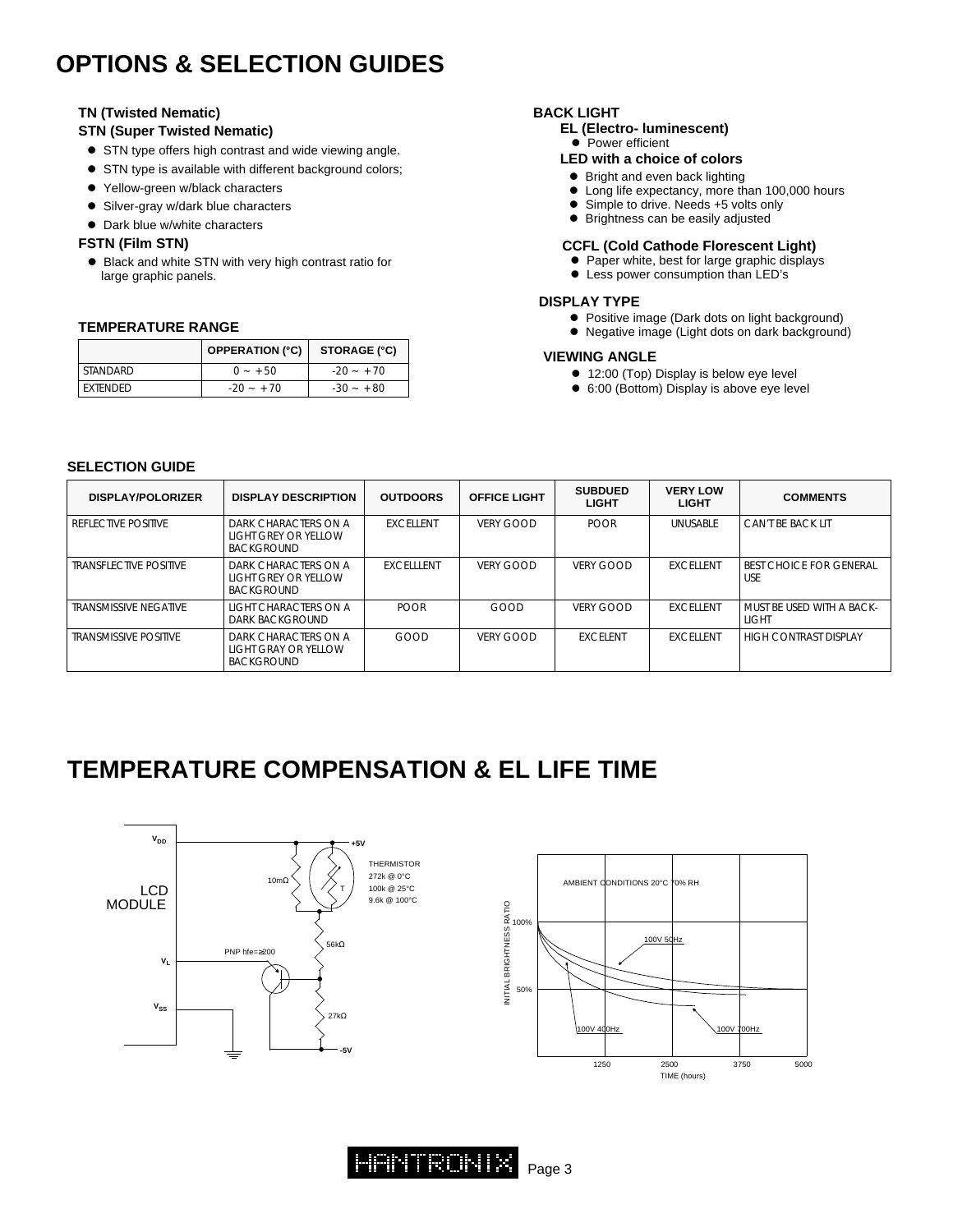## **OPTIONS & SELECTION GUIDES**

#### **TN (Twisted Nematic)**

#### **STN (Super Twisted Nematic)**

- **•** STN type offers high contrast and wide viewing angle.
- **•** STN type is available with different background colors;
- Yellow-green w/black characters
- **.** Silver-gray w/dark blue characters
- Dark blue w/white characters

#### **FSTN (Film STN)**

● Black and white STN with very high contrast ratio for large graphic panels.

#### **TEMPERATURE RANGE**

|                 | <b>OPPERATION (°C)</b> | STORAGE (°C) |
|-----------------|------------------------|--------------|
| STANDARD        | $0 - +50$              | $-20 - 70$   |
| <b>FXTENDED</b> | $-20 - 70$             | $-30 - +80$  |

#### **BACK LIGHT**

- **EL (Electro- luminescent)**
- $\bullet$  Power efficient

### **LED with a choice of colors**

- Bright and even back lighting<br>• Long life expectancy, more the
- Long life expectancy, more than 100,000 hours<br>● Simple to drive, Needs +5 volts only
- Simple to drive. Needs +5 volts only
- $\bullet$  Brightness can be easily adjusted

#### **CCFL (Cold Cathode Florescent Light)**

- Paper white, best for large graphic displays
- **•** Less power consumption than LED's

#### **DISPLAY TYPE**

- Positive image (Dark dots on light background)
- Negative image (Light dots on dark background)

#### **VIEWING ANGLE**

- 12:00 (Top) Display is below eye level
- 6:00 (Bottom) Display is above eye level

#### **SELECTION GUIDE**

| <b>DISPLAY/POLORIZER</b>      | <b>DISPLAY DESCRIPTION</b>                                        | <b>OUTDOORS</b>   | <b>OFFICE LIGHT</b> | <b>SUBDUED</b><br><b>LIGHT</b> | <b>VERY LOW</b><br><b>LIGHT</b> | <b>COMMENTS</b>                              |
|-------------------------------|-------------------------------------------------------------------|-------------------|---------------------|--------------------------------|---------------------------------|----------------------------------------------|
| <b>REFLECTIVE POSITIVE</b>    | DARK CHARACTERS ON A<br>light grey or yellow<br><b>BACKGROUND</b> | <b>FXCELLENT</b>  | VERY GOOD           | <b>POOR</b>                    | <b>UNUSABLE</b>                 | CAN'T BE BACK LIT                            |
| <b>TRANSFLECTIVE POSITIVE</b> | DARK CHARACTERS ON A<br>light grey or yellow<br><b>BACKGROUND</b> | <b>EXCELLLENT</b> | VERY GOOD           | VERY GOOD                      | <b>EXCELLENT</b>                | <b>BEST CHOICE FOR GENERAL</b><br><b>USE</b> |
| TRANSMISSIVE NEGATIVE         | LIGHT CHARACTERS ON A<br>DARK BACKGROUND                          | <b>POOR</b>       | GOOD                | VERY GOOD                      | <b>EXCELLENT</b>                | MUST BE USED WITH A BACK-<br>LIGHT           |
| <b>TRANSMISSIVE POSITIVE</b>  | DARK CHARACTERS ON A<br>light gray or yellow<br><b>BACKGROUND</b> | GOOD              | VERY GOOD           | <b>EXCELENT</b>                | <b>FXCELLENT</b>                | HIGH CONTRAST DISPLAY                        |

### **TEMPERATURE COMPENSATION & EL LIFE TIME**





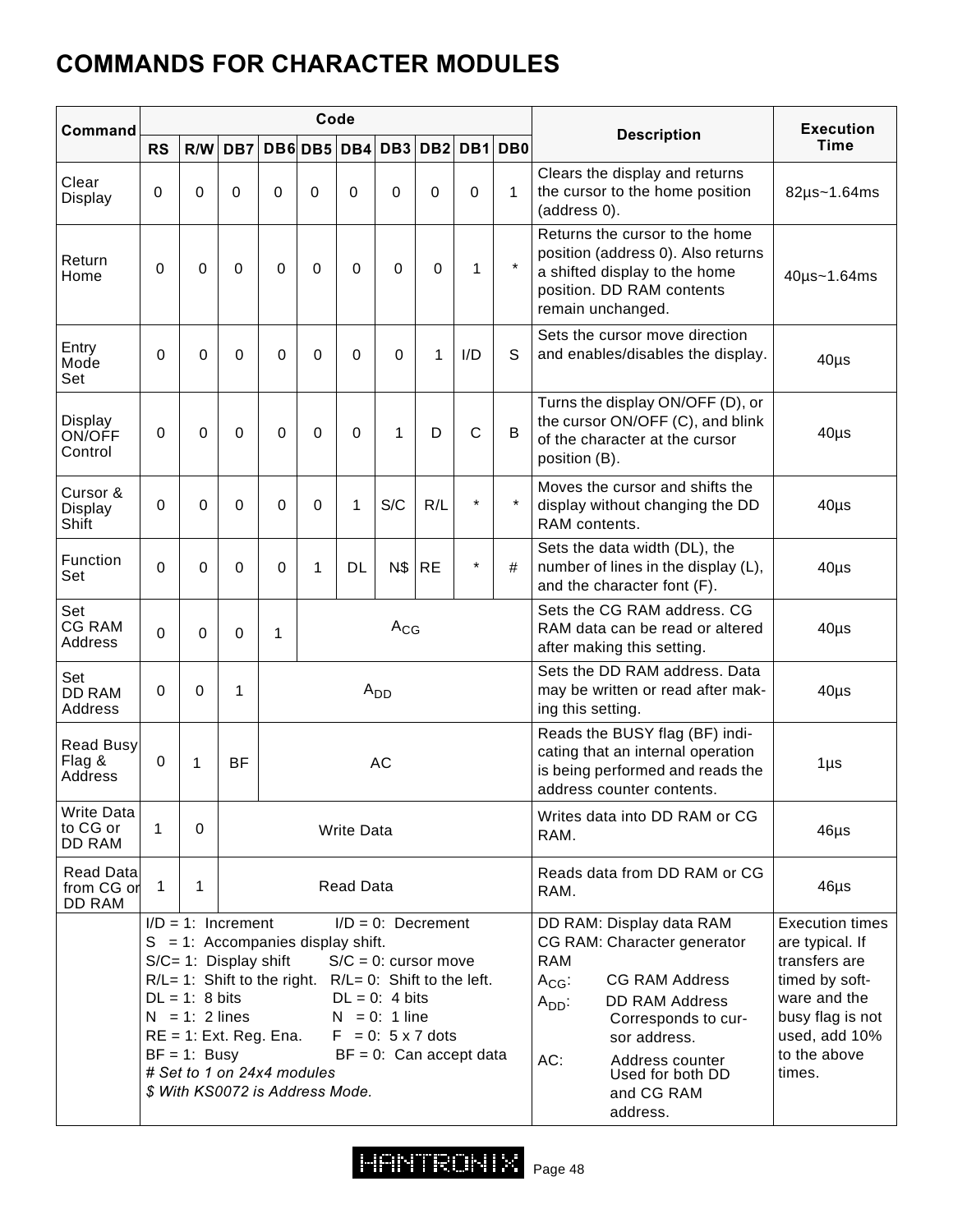# **COMMANDS FOR CHARACTER MODULES**

| Command                           |           |                                                                                                                                        |             |          | Code                                                                                                  |                   |                                                                                                                                                                                                                   |           |              |              |                                                                                                                                                                                                                                                                    | <b>Execution</b>                                                                                                                                            |
|-----------------------------------|-----------|----------------------------------------------------------------------------------------------------------------------------------------|-------------|----------|-------------------------------------------------------------------------------------------------------|-------------------|-------------------------------------------------------------------------------------------------------------------------------------------------------------------------------------------------------------------|-----------|--------------|--------------|--------------------------------------------------------------------------------------------------------------------------------------------------------------------------------------------------------------------------------------------------------------------|-------------------------------------------------------------------------------------------------------------------------------------------------------------|
|                                   | <b>RS</b> | R/W                                                                                                                                    | DB7         |          | DB6DB5                                                                                                |                   | DB4 DB3 DB2 DB1 DB0                                                                                                                                                                                               |           |              |              | <b>Description</b>                                                                                                                                                                                                                                                 | <b>Time</b>                                                                                                                                                 |
| Clear<br>Display                  | $\Omega$  | $\Omega$                                                                                                                               | $\Omega$    | 0        | 0                                                                                                     | $\Omega$          | $\Omega$                                                                                                                                                                                                          | 0         | $\Omega$     | $\mathbf{1}$ | Clears the display and returns<br>the cursor to the home position<br>(address 0).                                                                                                                                                                                  | $82\mu s - 1.64\text{ms}$                                                                                                                                   |
| Return<br>Home                    | $\Omega$  | $\Omega$                                                                                                                               | 0           | 0        | 0                                                                                                     | 0                 | 0                                                                                                                                                                                                                 | $\Omega$  | 1            |              | Returns the cursor to the home<br>position (address 0). Also returns<br>a shifted display to the home<br>position. DD RAM contents<br>remain unchanged.                                                                                                            | 40µs~1.64ms                                                                                                                                                 |
| Entry<br>Mode<br>Set              | $\Omega$  | $\Omega$                                                                                                                               | $\mathbf 0$ | $\Omega$ | $\Omega$                                                                                              | $\Omega$          | $\Omega$                                                                                                                                                                                                          | 1         | I/D          | S            | Sets the cursor move direction<br>and enables/disables the display.                                                                                                                                                                                                | $40\mu s$                                                                                                                                                   |
| Display<br>ON/OFF<br>Control      | $\Omega$  | $\Omega$                                                                                                                               | $\mathbf 0$ | $\Omega$ | $\Omega$                                                                                              | $\Omega$          | 1                                                                                                                                                                                                                 | D         | $\mathsf{C}$ | B            | Turns the display ON/OFF (D), or<br>the cursor ON/OFF (C), and blink<br>of the character at the cursor<br>position (B).                                                                                                                                            | $40\mu$ s                                                                                                                                                   |
| Cursor &<br>Display<br>Shift      | $\Omega$  | $\Omega$                                                                                                                               | $\Omega$    | $\Omega$ | $\Omega$                                                                                              | 1                 | S/C                                                                                                                                                                                                               | R/L       | $\star$      |              | Moves the cursor and shifts the<br>display without changing the DD<br>RAM contents.                                                                                                                                                                                | $40\mu s$                                                                                                                                                   |
| Function<br>Set                   | $\Omega$  | $\Omega$                                                                                                                               | 0           | 0        | 1                                                                                                     | DL                | <b>N\$</b>                                                                                                                                                                                                        | <b>RE</b> | $\star$      | #            | Sets the data width (DL), the<br>number of lines in the display (L),<br>and the character font (F).                                                                                                                                                                | $40\mu s$                                                                                                                                                   |
| Set<br><b>CG RAM</b><br>Address   | $\Omega$  | $\Omega$                                                                                                                               | $\mathbf 0$ | 1        |                                                                                                       |                   | $A_{CG}$                                                                                                                                                                                                          |           |              |              | Sets the CG RAM address, CG<br>RAM data can be read or altered<br>after making this setting.                                                                                                                                                                       | $40\mu$ s                                                                                                                                                   |
| Set<br>DD RAM<br>Address          | $\Omega$  | $\Omega$                                                                                                                               | 1           |          |                                                                                                       |                   | $A_{DD}$                                                                                                                                                                                                          |           |              |              | Sets the DD RAM address, Data<br>may be written or read after mak-<br>ing this setting.                                                                                                                                                                            | $40\mu$ s                                                                                                                                                   |
| Read Busy<br>Flag &<br>Address    | $\Omega$  | 1                                                                                                                                      | <b>BF</b>   |          |                                                                                                       |                   | <b>AC</b>                                                                                                                                                                                                         |           |              |              | Reads the BUSY flag (BF) indi-<br>cating that an internal operation<br>is being performed and reads the<br>address counter contents.                                                                                                                               | $1\mu$ s                                                                                                                                                    |
| Write Data<br>to CG or<br>DD RAM  | 1         | 0                                                                                                                                      |             |          |                                                                                                       | <b>Write Data</b> |                                                                                                                                                                                                                   |           |              |              | Writes data into DD RAM or CG<br>RAM.                                                                                                                                                                                                                              | $46\mu s$                                                                                                                                                   |
| Read Data<br>from CG or<br>DD RAM | 1         | 1                                                                                                                                      |             |          |                                                                                                       | <b>Read Data</b>  |                                                                                                                                                                                                                   |           |              |              | Reads data from DD RAM or CG<br>RAM.                                                                                                                                                                                                                               | $46\mu s$                                                                                                                                                   |
|                                   |           | $I/D = 1$ : Increment<br>S/C= 1: Display shift<br>$DL = 1: 8 bits$<br>$N = 1: 2$ lines<br>$RE = 1$ : Ext. Reg. Ena.<br>$BF = 1$ : Busy |             |          | $S = 1$ : Accompanies display shift.<br># Set to 1 on 24x4 modules<br>\$ With KS0072 is Address Mode. |                   | $I/D = 0$ : Decrement<br>$S/C = 0$ : cursor move<br>$R/L = 1$ : Shift to the right. $R/L = 0$ : Shift to the left.<br>$DL = 0$ : 4 bits<br>$N = 0$ : 1 line<br>$F = 0$ : 5 x 7 dots<br>$BF = 0$ : Can accept data |           |              |              | DD RAM: Display data RAM<br>CG RAM: Character generator<br><b>RAM</b><br><b>CG RAM Address</b><br>$A_{CG}$ :<br><b>DD RAM Address</b><br>$A_{DD}$ :<br>Corresponds to cur-<br>sor address.<br>AC:<br>Address counter<br>Used for both DD<br>and CG RAM<br>address. | <b>Execution times</b><br>are typical. If<br>transfers are<br>timed by soft-<br>ware and the<br>busy flag is not<br>used, add 10%<br>to the above<br>times. |

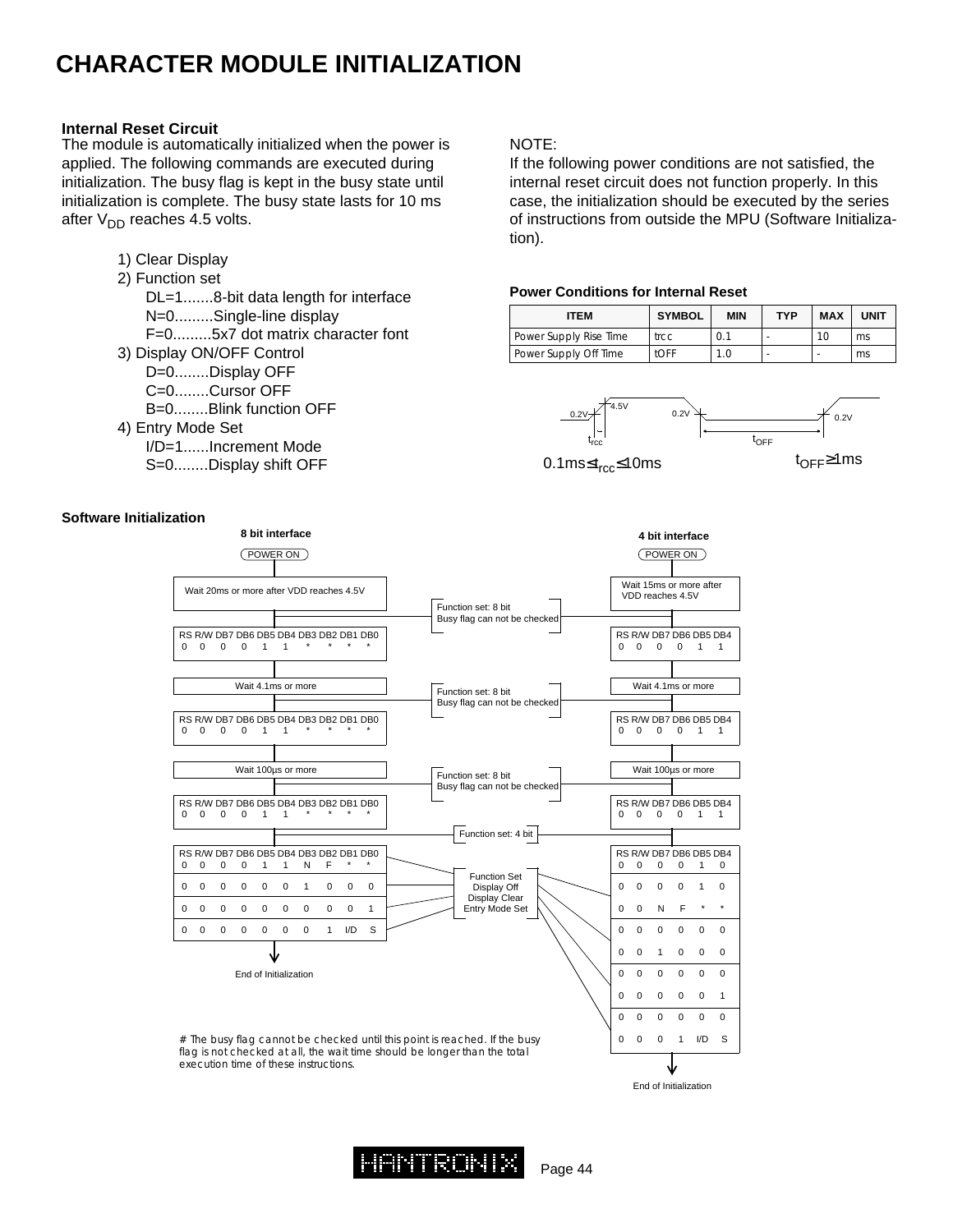### **CHARACTER MODULE INITIALIZATION**

#### **Internal Reset Circuit**

The module is automatically initialized when the power is applied. The following commands are executed during initialization. The busy flag is kept in the busy state until initialization is complete. The busy state lasts for 10 ms after  $V_{DD}$  reaches 4.5 volts.

| 1) Clear Display                    |
|-------------------------------------|
| 2) Function set                     |
| DL=18-bit data length for interface |
| N=0Single-line display              |
| F=05x7 dot matrix character font    |
| 3) Display ON/OFF Control           |
| D=0Display OFF                      |
| C=0Cursor OFF                       |
| $B=0$ Blink function OFF            |
| 4) Entry Mode Set                   |
| I/D=1Increment Mode                 |
| S=0Display shift OFF                |
|                                     |

#### NOTE:

If the following power conditions are not satisfied, the internal reset circuit does not function properly. In this case, the initialization should be executed by the series of instructions from outside the MPU (Software Initialization).

#### **Power Conditions for Internal Reset**

| <b>ITEM</b>            | <b>SYMBOL</b> | <b>MIN</b> | TYP | <b>MAX</b> | <b>UNIT</b> |
|------------------------|---------------|------------|-----|------------|-------------|
| Power Supply Rise Time | trcc          | 0.1        |     | 10         | ms          |
| Power Supply Off Time  | <b>tOFF</b>   | 1.0        |     |            | ms          |







#### **Software Initialization**



End of Initialization

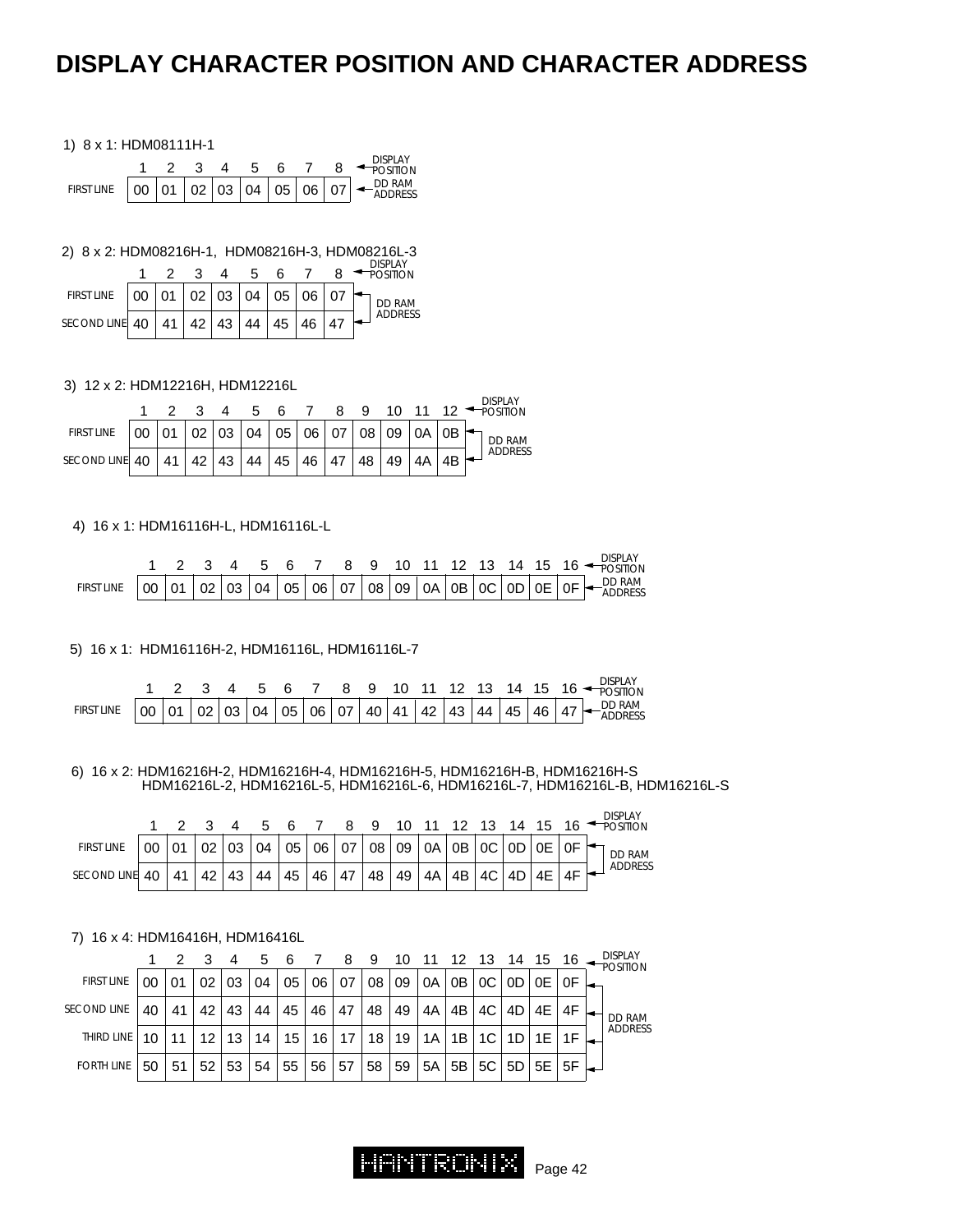### **DISPLAY CHARACTER POSITION AND CHARACTER ADDRESS**

#### 1) 8 x 1: HDM08111H-1

|            |                                       |  |  |  | <b>DISPLAY</b><br>POSITION    |
|------------|---------------------------------------|--|--|--|-------------------------------|
| FIRST LINE | 00   01   02   03   04   05   06   07 |  |  |  | $\xrightarrow{\text{DD RAM}}$ |

2) 8 x 2: HDM08216H-1, HDM08216H-3, HDM08216L-3

|                                                    |  |  | 5 6 7 |  | ורושו ש<br>POSITION |
|----------------------------------------------------|--|--|-------|--|---------------------|
| FIRST LINE   00   01   02   03   04   05   06   07 |  |  |       |  | DD RAM              |
| SECOND LINE 40   41   42   43   44   45   46   47  |  |  |       |  | ADDRESS             |

#### 3) 12 x 2: HDM12216H, HDM12216L

|                                                                              |  |  |  |  |  |  | <b>DISPLAY</b><br>2 3 4 5 6 7 8 9 10 11 12 POSITION |
|------------------------------------------------------------------------------|--|--|--|--|--|--|-----------------------------------------------------|
| FIRST LINE $ 00 01 02 03 04 05 06 07 08 09 0A 0B$                            |  |  |  |  |  |  | <b>DD RAM</b>                                       |
| SECOND LINE 40   41   42   43   44   45   46   47   48   49   4A   4B $\sim$ |  |  |  |  |  |  | ADDRESS                                             |

#### 4) 16 x 1: HDM16116H-L, HDM16116L-L

|            |  |  |  |  |  |  |  |  | <b>DISPLAY</b><br>2 3 4 5 6 7 8 9 10 11 12 13 14 15 16                             |
|------------|--|--|--|--|--|--|--|--|------------------------------------------------------------------------------------|
| FIRST LINE |  |  |  |  |  |  |  |  | $\overline{00}$ 01 02 03 04 05 06 07 08 09 0A 0B 0C 0D 0E 0F $\overline{+}$ DD RAM |

5) 16 x 1: HDM16116H-2, HDM16116L, HDM16116L-7

|                                                                     |  |  |  |  |  |  |  |  | 1 2 3 4 5 6 7 8 9 10 11 12 13 14 15 16 $\leftarrow$ DISPLAY |
|---------------------------------------------------------------------|--|--|--|--|--|--|--|--|-------------------------------------------------------------|
| FIRST LINE 00 01 02 03 04 05 06 07 40 41 42 43 44 45 46 47 - DD RAM |  |  |  |  |  |  |  |  |                                                             |

6) 16 x 2: HDM16216H-2, HDM16216H-4, HDM16216H-5, HDM16216H-B, HDM16216H-S HDM16216L-2, HDM16216L-5, HDM16216L-6, HDM16216L-7, HDM16216L-B, HDM16216L-S

DISPLAY

|                   |    | 2 3 4 5 6 |    |    |    |  |              |       |  |                                                                                                                                                                                        |  |                 | DISPLAY<br>8 9 10 11 12 13 14 15 16 POSITION |  |
|-------------------|----|-----------|----|----|----|--|--------------|-------|--|----------------------------------------------------------------------------------------------------------------------------------------------------------------------------------------|--|-----------------|----------------------------------------------|--|
| <b>FIRST LINE</b> | 00 | 01        |    |    |    |  |              |       |  | $\vert$ 02 $\vert$ 03 $\vert$ 04 $\vert$ 05 $\vert$ 06 $\vert$ 07 $\vert$ 08 $\vert$ 09 $\vert$ 0A $\vert$ 0B $\vert$ 0C $\vert$ 0D $\vert$ 0E $\vert$ 0F $\vert$ $\leftarrow$ $\vert$ |  |                 | DD RAM                                       |  |
| SECOND LINE 40    |    | 41        | 42 | 43 | 44 |  | 45   46   47 | $-48$ |  | 49   4A   4B   4C   4D   4E   .                                                                                                                                                        |  | 4F <sub>1</sub> | ADDRESS                                      |  |

#### 7) 16 x 4: HDM16416H, HDM16416L

|                    |    |    |                 |    | 5  |    |           | 8               | - 9             |    | 10 11 12 13 14 15 16 - |      |    |                                         |         |  | <b>DISPLAY</b><br><b>POSITION</b> |
|--------------------|----|----|-----------------|----|----|----|-----------|-----------------|-----------------|----|------------------------|------|----|-----------------------------------------|---------|--|-----------------------------------|
| <b>FIRST LINE</b>  | 00 | 01 | 02              | 03 | 04 | 05 | 06        | 07              | 08 <sub>1</sub> | 09 | 0A                     | 0B   |    | OC   OD   OE   OF                       |         |  |                                   |
| <b>SECOND LINE</b> | 40 | 41 | 42              | 43 | 44 | 45 | 46        | 47              | 48              | 49 | 4A                     | 4B I | 4C | 4D                                      | 4E   4F |  | DD RAM                            |
| THIRD LINE         | 10 | 11 | 12 <sup>2</sup> | 13 | 14 |    | $15$   16 | 17 <sup>1</sup> |                 |    | 18   19   1A           | 1B   |    | $1C$   $1D$   $1E$   $1F$               |         |  | ADDRESS                           |
| <b>FORTH LINE</b>  | 50 | 51 | 52 <sub>1</sub> | 53 | 54 | 55 | 56 57     |                 | 58              | 59 | 5A                     |      |    | 5B   5C   5D   5E   5F   <del>4  </del> |         |  |                                   |

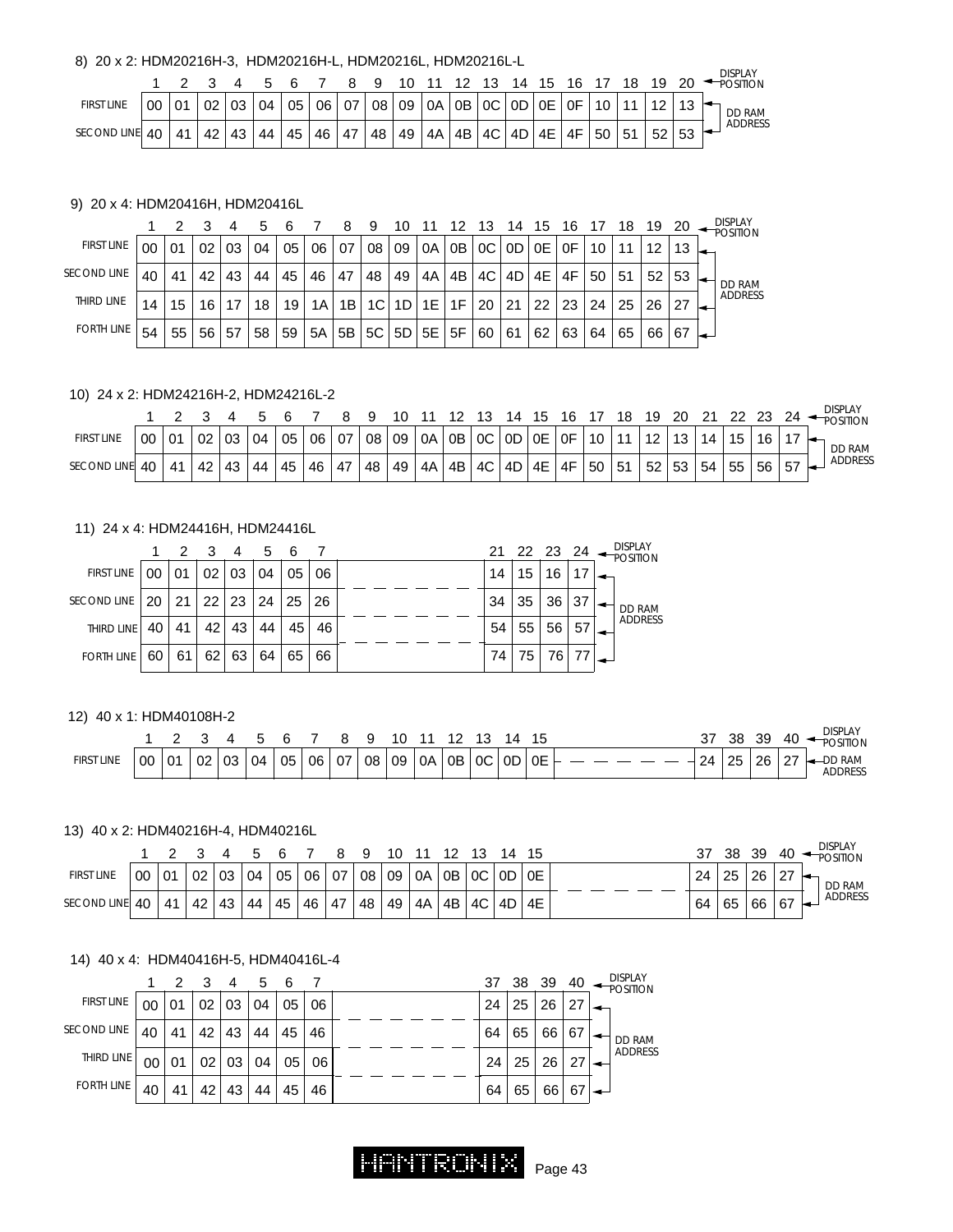#### 8) 20 x 2: HDM20216H-3, HDM20216H-L, HDM20216L, HDM20216L-L

|                   |    |    |    |    |    |    |    |          | ч  |    |             |                 | - 1 2                      | 14 | 15        |    |                 | 18 | 19 |    | <b>DISPLAY</b><br><b>POSITION</b> |
|-------------------|----|----|----|----|----|----|----|----------|----|----|-------------|-----------------|----------------------------|----|-----------|----|-----------------|----|----|----|-----------------------------------|
| <b>FIRST LINE</b> | 00 | 01 | 02 | 03 | 04 | 05 |    | 06 07 08 |    | 09 | OA OB OC OD |                 |                            |    | 0E        | 0F | 10 <sup>°</sup> | 11 | 12 | 12 | <b>DD RAM</b>                     |
| SECOND LINE 40    |    | 41 | 42 | 43 | 44 | 45 | 46 | 47       | 48 | 49 | 4A          | $\overline{AB}$ | $\parallel$ 4C $\parallel$ | 4D | <b>4E</b> | 4F | 50              | 51 | 52 | 53 | ADDRESS                           |

#### 9) 20 x 4: HDM20416H, HDM20416L

|                    |    |    |    |    |    |    |    |    | 9  |    |    |    |    | 14 | 15 | 16 |    | 18 | 19 | 20 | <b>DISPLAY</b><br><b>POSITION</b> |
|--------------------|----|----|----|----|----|----|----|----|----|----|----|----|----|----|----|----|----|----|----|----|-----------------------------------|
| <b>FIRST LINE</b>  |    | 01 | 02 | 03 | 04 | 05 | 06 | 07 | 08 | 09 | 0A | 0B | 0C | 0D | 0E | 0F | 10 | 11 | 12 | 13 |                                   |
| <b>SECOND LINE</b> | 40 | 41 | 42 | 43 | 44 | 45 | 46 | 47 | 48 | 49 | 4A | 4B | 4C | 4D | 4E | 4F | 50 | 51 | 52 | 53 | DD RAM                            |
| THIRD LINE         | 14 | 15 | 16 |    | 18 | 19 | 1A | 1B | 1C |    | 1E | 1F | 20 | 21 | 22 | 23 | 24 | 25 | 26 | 27 | <b>ADDRESS</b>                    |
| <b>FORTH LINE</b>  | 54 | 55 | 56 | 57 | 58 | 59 | 5A | 5B | 5C | 5D | 5E | 5F | 60 | 61 | 62 | 63 | 64 | 65 | 66 | 67 |                                   |

#### 10) 24 x 2: HDM24216H-2, HDM24216L-2

|                    |    |    |    |    |    |    |    |                   |    | ıо |     |    |    | 14           | 15 | 16   | 17              | 18 | 19                | 20 | 21 | -22 | 23.  |    | <b>DISPLAY</b><br><b>POSITION</b> |
|--------------------|----|----|----|----|----|----|----|-------------------|----|----|-----|----|----|--------------|----|------|-----------------|----|-------------------|----|----|-----|------|----|-----------------------------------|
| <b>FIRST LINE</b>  | 00 | 01 | 02 | 03 | 04 | 05 | 06 | ∣ 07 <sup>∣</sup> | 08 | 09 | .0A |    |    | OB   OC   OD | OE | 0F   | 10 <sup>1</sup> | 11 | $12 \overline{ }$ | 13 | 14 | 15  |      |    | DD RAM                            |
| <b>SECOND LINE</b> | 40 | 41 | 42 | 43 | 44 | 45 | 46 | 47                | 48 | 49 | 4A  | 4B | 4C | 4D           | 4E | . 4F | 50              | 51 | 52                | 53 | 54 | 55  | 56 ' | 57 | ADDRESS                           |

#### 11) 24 x 4: HDM24416H, HDM24416L

|                    |    |    |    |    | 1 2 3 4 5 6 |    |    |    |    |    |                 |               |
|--------------------|----|----|----|----|-------------|----|----|----|----|----|-----------------|---------------|
| FIRST LINE         | 00 | 01 | 02 | 03 | 04          | 05 | 06 | 14 | 15 | 16 | 17 <sup>1</sup> |               |
| <b>SECOND LINE</b> | 20 | 21 | 22 | 23 | 24          | 25 | 26 | 34 | 35 | 36 | 37              | <b>DD RAM</b> |
| THIRD LINE         | 40 | 41 | 42 | 43 | 44          | 45 | 46 | 54 | 55 | 56 | 57              | ADDRESS       |
| <b>FORTH LINE</b>  | 60 | 61 | 62 | 63 | 64          | 65 | 66 | 74 | 75 | 76 | 77              |               |

#### 12) 40 x 1: HDM40108H-2

|            |    |    |          |    |    |    |    |    |    | 10 |    |    |    | ıΔ  | 15 | ، ب | 38 | 39 | 40     | <b>DISPLAY</b><br><b>DSITION</b> |
|------------|----|----|----------|----|----|----|----|----|----|----|----|----|----|-----|----|-----|----|----|--------|----------------------------------|
| FIRST LINE | 00 | 01 | ററ<br>∪∠ | 03 | 04 | 05 | 06 | 07 | 08 | 09 | 0A | 0B | 0C | -0D | 0E | 24  | 25 | 26 | $\sim$ | <b>RAM</b><br>ADDRESS            |

#### 13) 40 x 2: HDM40216H-4, HDM40216L

|                   |    |    |                 |    | 5 R |    |       |          | - Q | 10 | 11      |           | ୀ ? | 14    | - 15 |    | 38 | 39 | 40     | <b>DISPLAY</b><br>POSITION |
|-------------------|----|----|-----------------|----|-----|----|-------|----------|-----|----|---------|-----------|-----|-------|------|----|----|----|--------|----------------------------|
| <b>FIRST LINE</b> | 00 | 01 | 02 <sub>1</sub> | 03 | 04  |    |       | 05 06 07 | 08  | 09 | 0A      | $OB$ $OC$ |     | OD OE |      | 24 | 25 | 26 | $\sim$ | <b>DD RAM</b>              |
| SECOND LINE 40    |    | 41 | 42              | 43 | 44  | 45 | $-46$ | 47       | 48  | 49 | $4A$ 4B |           | 4C  | .4D   | 4E   | 64 | 65 | 66 | 67     | ADDRESS                    |

#### 14) 40 x 4: HDM40416H-5, HDM40416L-4

|                    |    | $\overline{2}$ | - 3             | -4 | 5  | - 6 |    |    |    | 37 38 39 40 |    | <b>DISPLAY</b><br><b>POSITION</b> |
|--------------------|----|----------------|-----------------|----|----|-----|----|----|----|-------------|----|-----------------------------------|
| <b>FIRST LINE</b>  | 00 | 01             | 02              | 03 | 04 | 05  | 06 | 24 | 25 | 26          | 27 |                                   |
| <b>SECOND LINE</b> | 40 | 41             | 42              | 43 | 44 | 45  | 46 | 64 | 65 | 66          | 67 | DD RAM                            |
| THIRD LINE         | 00 | 01             | 02 <sub>1</sub> | 03 | 04 | 05  | 06 | 24 | 25 | 26          | 27 | ADDRESS                           |
| <b>FORTH LINE</b>  | 40 | 41             | 42              | 43 | 44 | 45  | 46 | 64 | 65 | 66          | 67 |                                   |

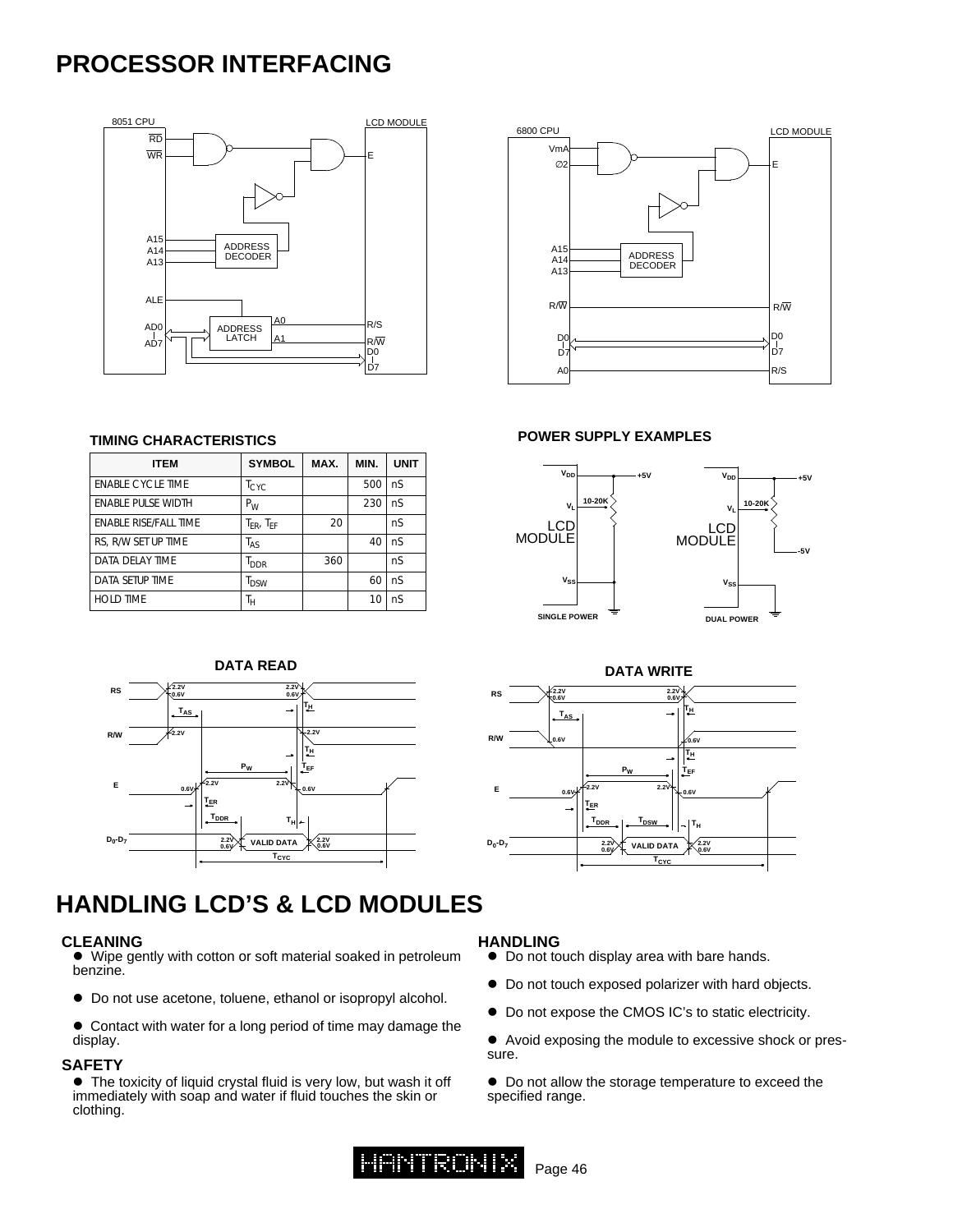### **PROCESSOR INTERFACING**





#### **TIMING CHARACTERISTICS**

| <b>ITEM</b>               | <b>SYMBOL</b>       | MAX. | MIN. | <b>UNIT</b> |
|---------------------------|---------------------|------|------|-------------|
| <b>ENABLE CYCLE TIME</b>  | $T_{\text{CYC}}$    |      | 500  | nS          |
| <b>ENABLE PULSE WIDTH</b> | $P_W$               |      | 230  | nS          |
| ENABLE RISE/FALL TIME     | $T_{FR}$ , $T_{FF}$ | 20   |      | nS          |
| RS, R/W SET UP TIME       | T <sub>AS</sub>     |      | 40   | nS          |
| DATA DELAY TIME           | <sup>I</sup> DDR    | 360  |      | nS          |
| DATA SETUP TIME           | <sup>I</sup> DSW    |      | 60   | nS          |
| <b>HOLD TIME</b>          | Тн                  |      | 10   | nS          |



#### **POWER SUPPLY EXAMPLES**





### **HANDLING LCD'S & LCD MODULES**

#### **CLEANING**

 $\bullet$  Wipe gently with cotton or soft material soaked in petroleum benzine.

 $\bullet$  Do not use acetone, toluene, ethanol or isopropyl alcohol.

• Contact with water for a long period of time may damage the display.

#### **SAFETY**

 $\bullet$  The toxicity of liquid crystal fluid is very low, but wash it off immediately with soap and water if fluid touches the skin or clothing.

#### **HANDLING**

- $\bullet$  Do not touch display area with bare hands.
- $\bullet$  Do not touch exposed polarizer with hard objects.
- $\bullet$  Do not expose the CMOS IC's to static electricity.
- Avoid exposing the module to excessive shock or pressure.
- $\bullet$  Do not allow the storage temperature to exceed the specified range.

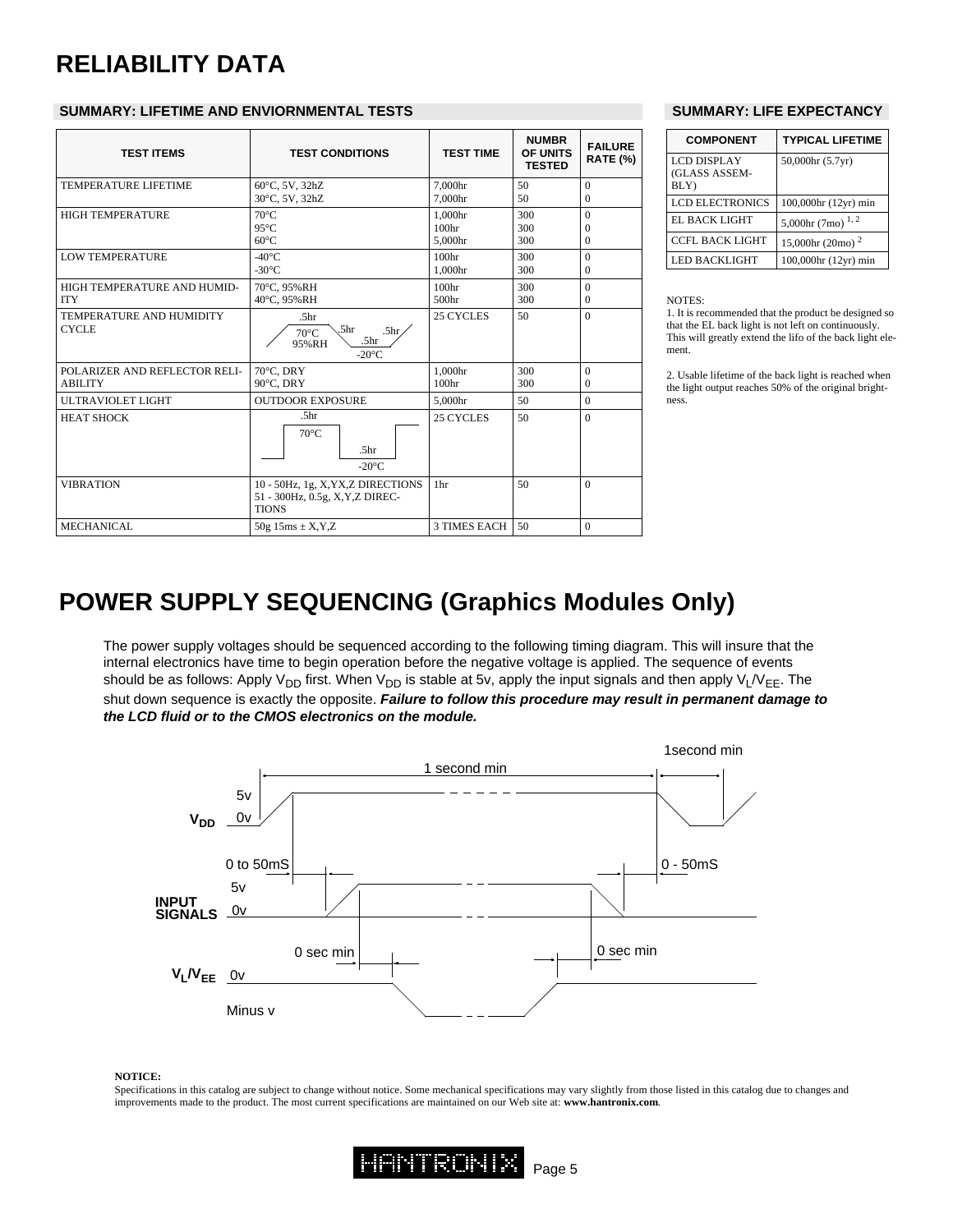# **RELIABILITY DATA**

#### **SUMMARY: LIFETIME AND ENVIORNMENTAL TESTS SUMMARY: LIFE EXPECTANCY**

| <b>TEST ITEMS</b>                               | <b>TEST CONDITIONS</b>                                                                                                     | <b>TEST TIME</b>                        | <b>NUMBR</b><br>OF UNITS<br><b>TESTED</b> | <b>FAILURE</b><br><b>RATE (%)</b> |
|-------------------------------------------------|----------------------------------------------------------------------------------------------------------------------------|-----------------------------------------|-------------------------------------------|-----------------------------------|
| <b>TEMPERATURE LIFETIME</b>                     | 60°C, 5V, 32hZ<br>30°C, 5V, 32hZ                                                                                           | 7.000hr<br>7.000hr                      | 50<br>50                                  | $\theta$<br>$\Omega$              |
| <b>HIGH TEMPERATURE</b>                         | $70^{\circ}$ C<br>$95^{\circ}$ C<br>$60^{\circ}$ C                                                                         | 1.000hr<br>100 <sub>hr</sub><br>5.000hr | 300<br>300<br>300                         | $\Omega$<br>$\Omega$<br>$\Omega$  |
| <b>LOW TEMPERATURE</b>                          | $-40^{\circ}$ C<br>$-30^{\circ}$ C                                                                                         | 100 <sub>hr</sub><br>1.000hr            | 300<br>300                                | $\Omega$<br>$\Omega$              |
| HIGH TEMPERATURE AND HUMID-<br><b>ITY</b>       | 70°C, 95%RH<br>40°C, 95%RH                                                                                                 | 100 <sub>hr</sub><br>500hr              | 300<br>300                                | $\theta$<br>$\mathbf{0}$          |
| TEMPERATURE AND HUMIDITY<br><b>CYCLE</b>        | .5 <sub>hr</sub><br>.5 <sub>hr</sub><br>.5 <sub>hr</sub><br>$70^{\circ}$ C<br>.5 <sub>hr</sub><br>95%RH<br>$-20^{\circ}$ C | 25 CYCLES                               | 50                                        | $\Omega$                          |
| POLARIZER AND REFLECTOR RELI-<br><b>ABILITY</b> | $70^{\circ}$ C. DRY<br>90°C, DRY                                                                                           | 1.000hr<br>100 <sub>hr</sub>            | 300<br>300                                | $\Omega$<br>$\Omega$              |
| <b>ULTRAVIOLET LIGHT</b>                        | <b>OUTDOOR EXPOSURE</b>                                                                                                    | 5,000hr                                 | 50                                        | $\theta$                          |
| <b>HEAT SHOCK</b>                               | .5 <sub>hr</sub><br>$70^{\circ}$ C<br>.5 <sub>hr</sub><br>$-20^{\circ}$ C                                                  | 25 CYCLES                               | 50                                        | $\Omega$                          |
| <b>VIBRATION</b>                                | 10 - 50Hz, 1g, X, YX, Z DIRECTIONS<br>51 - 300Hz, 0.5g, X, Y, Z DIREC-<br><b>TIONS</b>                                     | 1hr                                     | 50                                        | $\Omega$                          |
| <b>MECHANICAL</b>                               | $50g$ 15ms $\pm$ X, Y, Z                                                                                                   | <b>3 TIMES EACH</b>                     | 50                                        | $\theta$                          |

| <b>COMPONENT</b>                            | <b>TYPICAL LIFETIME</b>                 |
|---------------------------------------------|-----------------------------------------|
| <b>LCD DISPLAY</b><br>(GLASS ASSEM-<br>BLY) | 50,000hr (5.7yr)                        |
| <b>LCD ELECTRONICS</b>                      | 100,000hr (12yr) min                    |
| EL BACK LIGHT                               | 5,000hr $(7 \text{mo})$ <sup>1, 2</sup> |
| <b>CCFL BACK LIGHT</b>                      | 15,000hr $(20mo)^2$                     |
| <b>LED BACKLIGHT</b>                        | 100,000hr (12yr) min                    |

#### NOTES:

1. It is recommended that the product be designed so that the EL back light is not left on continuously. This will greatly extend the lifo of the back light element.

2. Usable lifetime of the back light is reached when the light output reaches 50% of the original brightness.

### **POWER SUPPLY SEQUENCING (Graphics Modules Only)**

The power supply voltages should be sequenced according to the following timing diagram. This will insure that the internal electronics have time to begin operation before the negative voltage is applied. The sequence of events should be as follows: Apply V<sub>DD</sub> first. When V<sub>DD</sub> is stable at 5v, apply the input signals and then apply V<sub>L</sub>/V<sub>EE</sub>. The shut down sequence is exactly the opposite. *Failure to follow this procedure may result in permanent damage to the LCD fluid or to the CMOS electronics on the module.*



#### **NOTICE:**

Specifications in this catalog are subject to change without notice. Some mechanical specifications may vary slightly from those listed in this catalog due to changes and improvements made to the product. The most current specifications are maintained on our Web site at: **www.hantronix.com**.